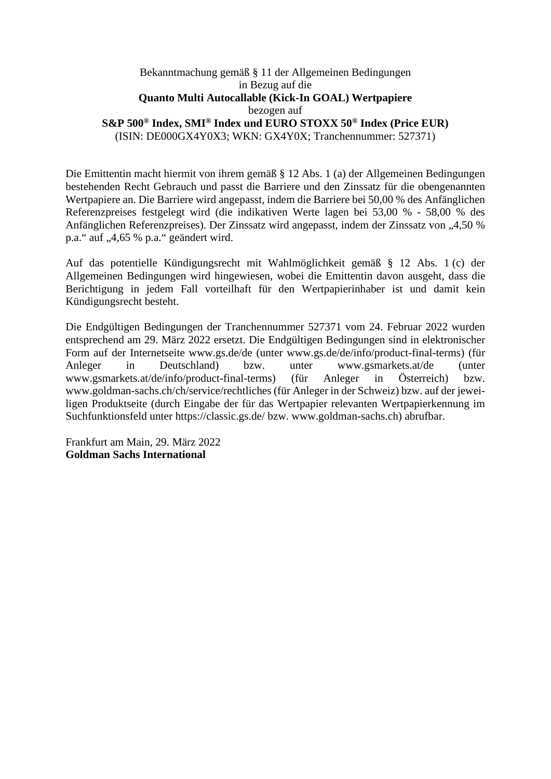## Bekanntmachung gemäß § 11 der Allgemeinen Bedingungen in Bezug auf die **Quanto Multi Autocallable (Kick-In GOAL) Wertpapiere**  bezogen auf **S&P 500® Index, SMI® Index und EURO STOXX 50® Index (Price EUR)**  (ISIN: DE000GX4Y0X3; WKN: GX4Y0X; Tranchennummer: 527371)

Die Emittentin macht hiermit von ihrem gemäß § 12 Abs. 1 (a) der Allgemeinen Bedingungen bestehenden Recht Gebrauch und passt die Barriere und den Zinssatz für die obengenannten Wertpapiere an. Die Barriere wird angepasst, indem die Barriere bei 50,00 % des Anfänglichen Referenzpreises festgelegt wird (die indikativen Werte lagen bei 53,00 % - 58,00 % des Anfänglichen Referenzpreises). Der Zinssatz wird angepasst, indem der Zinssatz von "4,50 % p.a." auf "4,65 % p.a." geändert wird.

Auf das potentielle Kündigungsrecht mit Wahlmöglichkeit gemäß § 12 Abs. 1 (c) der Allgemeinen Bedingungen wird hingewiesen, wobei die Emittentin davon ausgeht, dass die Berichtigung in jedem Fall vorteilhaft für den Wertpapierinhaber ist und damit kein Kündigungsrecht besteht.

Die Endgültigen Bedingungen der Tranchennummer 527371 vom 24. Februar 2022 wurden entsprechend am 29. März 2022 ersetzt. Die Endgültigen Bedingungen sind in elektronischer Form auf der Internetseite www.gs.de/de (unter www.gs.de/de/info/product-final-terms) (für Anleger in Deutschland) bzw. unter www.gsmarkets.at/de (unter www.gsmarkets.at/de/info/product-final-terms) (für Anleger in Österreich) bzw. www.goldman-sachs.ch/ch/service/rechtliches (für Anleger in der Schweiz) bzw. auf der jeweiligen Produktseite (durch Eingabe der für das Wertpapier relevanten Wertpapierkennung im Suchfunktionsfeld unter https://classic.gs.de/ bzw. www.goldman-sachs.ch) abrufbar.

Frankfurt am Main, 29. März 2022 **Goldman Sachs International**